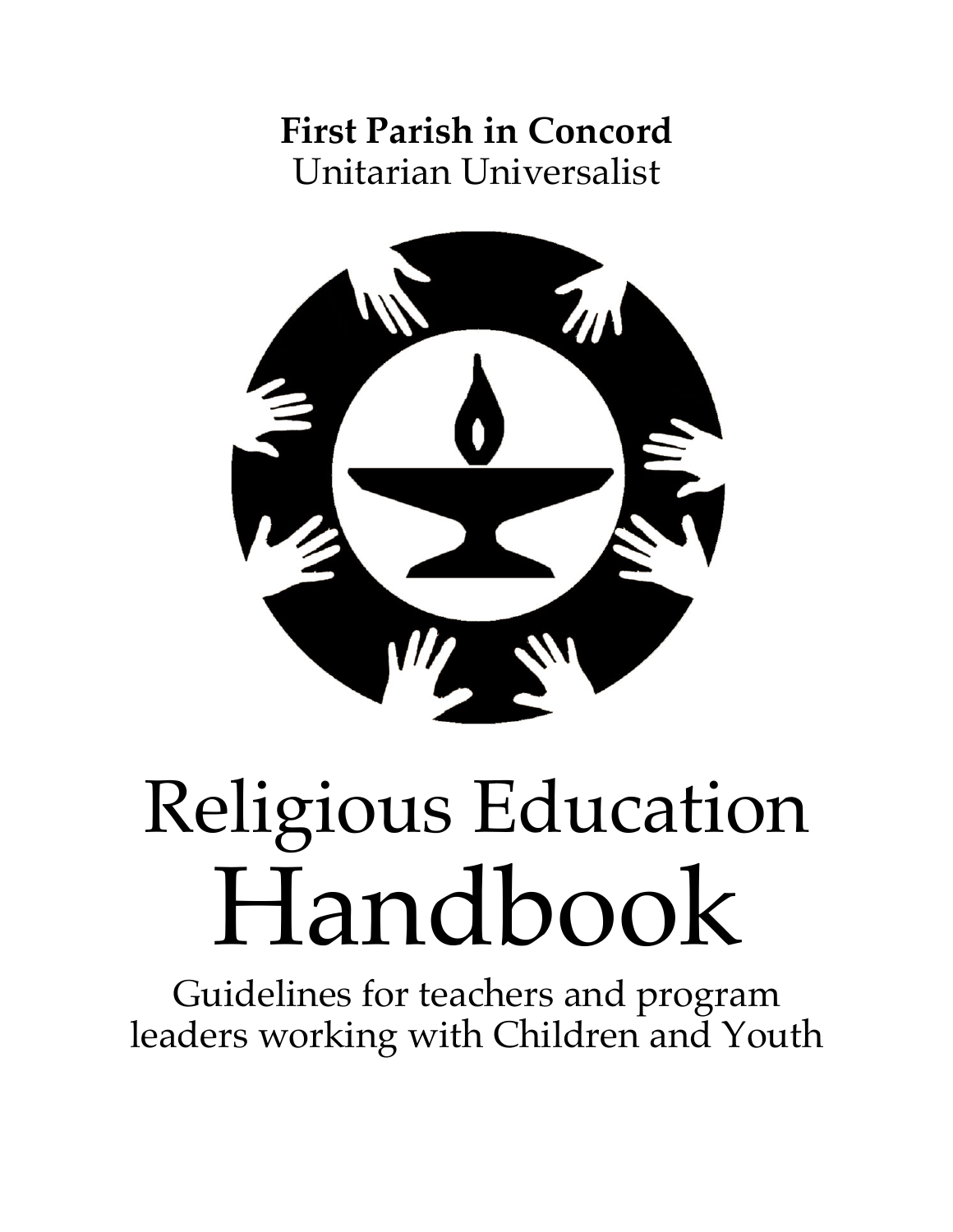**First Parish in Concord** Unitarian Universalist



# Religious Education Handbook

Guidelines for teachers and program leaders working with Children and Youth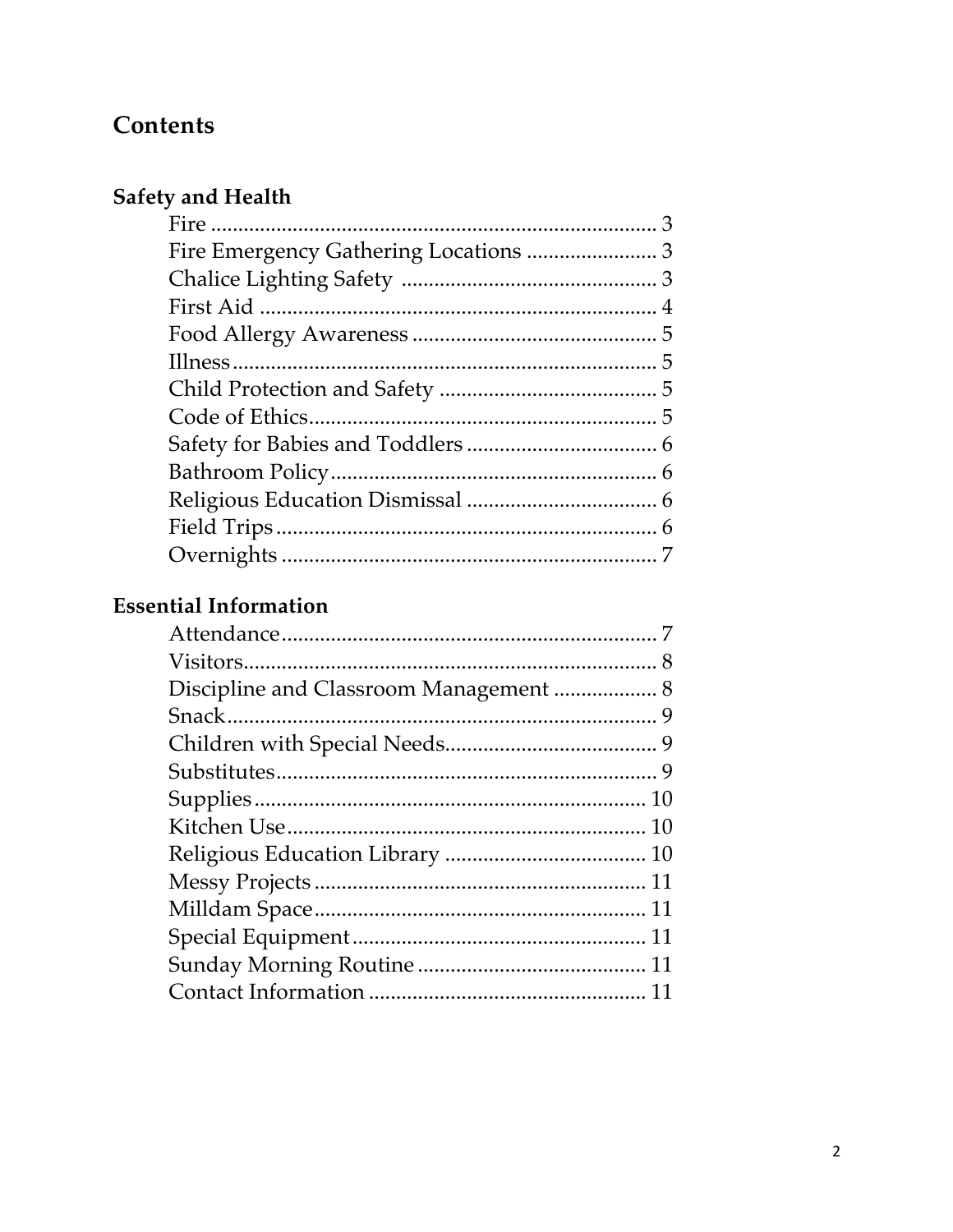# **Contents**

# Safety and Health

# **Essential Information**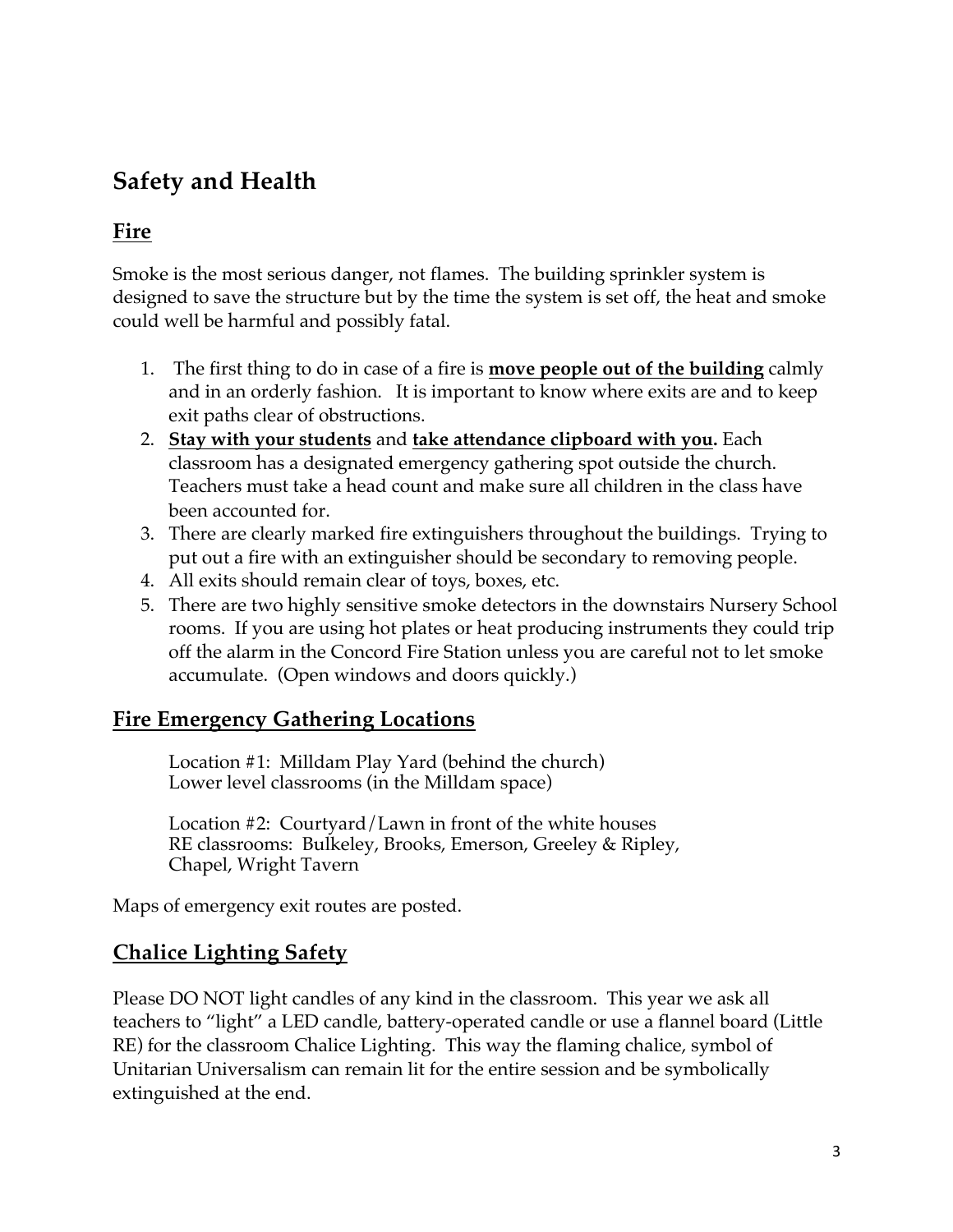# **Safety and Health**

### **Fire**

Smoke is the most serious danger, not flames. The building sprinkler system is designed to save the structure but by the time the system is set off, the heat and smoke could well be harmful and possibly fatal.

- 1. The first thing to do in case of a fire is **move people out of the building** calmly and in an orderly fashion.It is important to know where exits are and to keep exit paths clear of obstructions.
- 2. **Stay with your students** and **take attendance clipboard with you.** Each classroom has a designated emergency gathering spot outside the church. Teachers must take a head count and make sure all children in the class have been accounted for.
- 3. There are clearly marked fire extinguishers throughout the buildings. Trying to put out a fire with an extinguisher should be secondary to removing people.
- 4. All exits should remain clear of toys, boxes, etc.
- 5. There are two highly sensitive smoke detectors in the downstairs Nursery School rooms. If you are using hot plates or heat producing instruments they could trip off the alarm in the Concord Fire Station unless you are careful not to let smoke accumulate. (Open windows and doors quickly.)

#### **Fire Emergency Gathering Locations**

Location #1: Milldam Play Yard (behind the church) Lower level classrooms (in the Milldam space)

Location #2: Courtyard/Lawn in front of the white houses RE classrooms: Bulkeley, Brooks, Emerson, Greeley & Ripley, Chapel, Wright Tavern

Maps of emergency exit routes are posted.

#### **Chalice Lighting Safety**

Please DO NOT light candles of any kind in the classroom. This year we ask all teachers to "light" a LED candle, battery-operated candle or use a flannel board (Little RE) for the classroom Chalice Lighting. This way the flaming chalice, symbol of Unitarian Universalism can remain lit for the entire session and be symbolically extinguished at the end.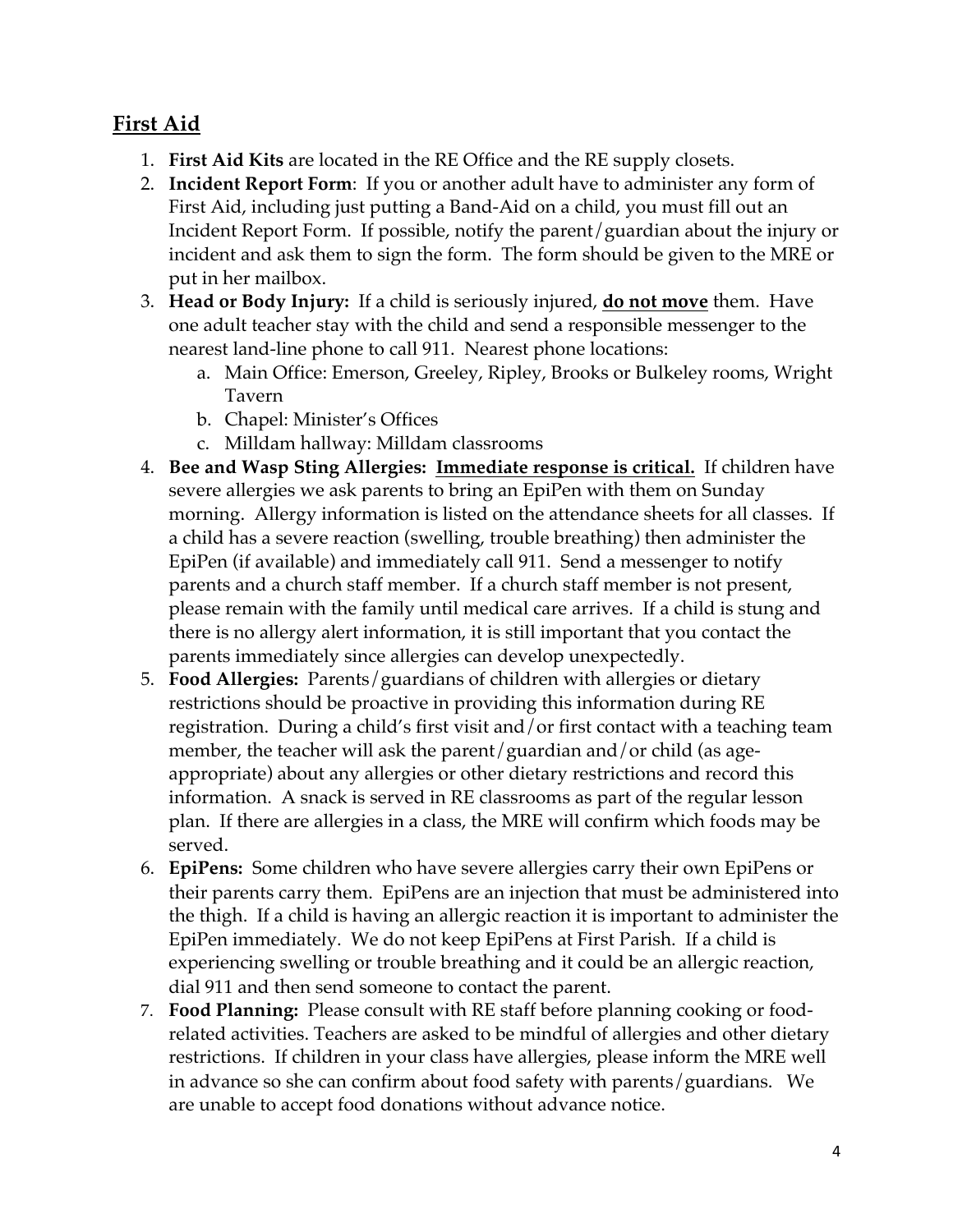#### **First Aid**

- 1. **First Aid Kits** are located in the RE Office and the RE supply closets.
- 2. **Incident Report Form**: If you or another adult have to administer any form of First Aid, including just putting a Band-Aid on a child, you must fill out an Incident Report Form. If possible, notify the parent/guardian about the injury or incident and ask them to sign the form. The form should be given to the MRE or put in her mailbox.
- 3. **Head or Body Injury:** If a child is seriously injured, **do not move** them. Have one adult teacher stay with the child and send a responsible messenger to the nearest land-line phone to call 911. Nearest phone locations:
	- a. Main Office: Emerson, Greeley, Ripley, Brooks or Bulkeley rooms, Wright Tavern
	- b. Chapel: Minister's Offices
	- c. Milldam hallway: Milldam classrooms
- 4. **Bee and Wasp Sting Allergies: Immediate response is critical.** If children have severe allergies we ask parents to bring an EpiPen with them on Sunday morning. Allergy information is listed on the attendance sheets for all classes. If a child has a severe reaction (swelling, trouble breathing) then administer the EpiPen (if available) and immediately call 911. Send a messenger to notify parents and a church staff member. If a church staff member is not present, please remain with the family until medical care arrives. If a child is stung and there is no allergy alert information, it is still important that you contact the parents immediately since allergies can develop unexpectedly.
- 5. **Food Allergies:** Parents/guardians of children with allergies or dietary restrictions should be proactive in providing this information during RE registration. During a child's first visit and/or first contact with a teaching team member, the teacher will ask the parent/guardian and/or child (as ageappropriate) about any allergies or other dietary restrictions and record this information. A snack is served in RE classrooms as part of the regular lesson plan. If there are allergies in a class, the MRE will confirm which foods may be served.
- 6. **EpiPens:** Some children who have severe allergies carry their own EpiPens or their parents carry them. EpiPens are an injection that must be administered into the thigh. If a child is having an allergic reaction it is important to administer the EpiPen immediately. We do not keep EpiPens at First Parish. If a child is experiencing swelling or trouble breathing and it could be an allergic reaction, dial 911 and then send someone to contact the parent.
- 7. **Food Planning:** Please consult with RE staff before planning cooking or foodrelated activities. Teachers are asked to be mindful of allergies and other dietary restrictions. If children in your class have allergies, please inform the MRE well in advance so she can confirm about food safety with parents/guardians. We are unable to accept food donations without advance notice.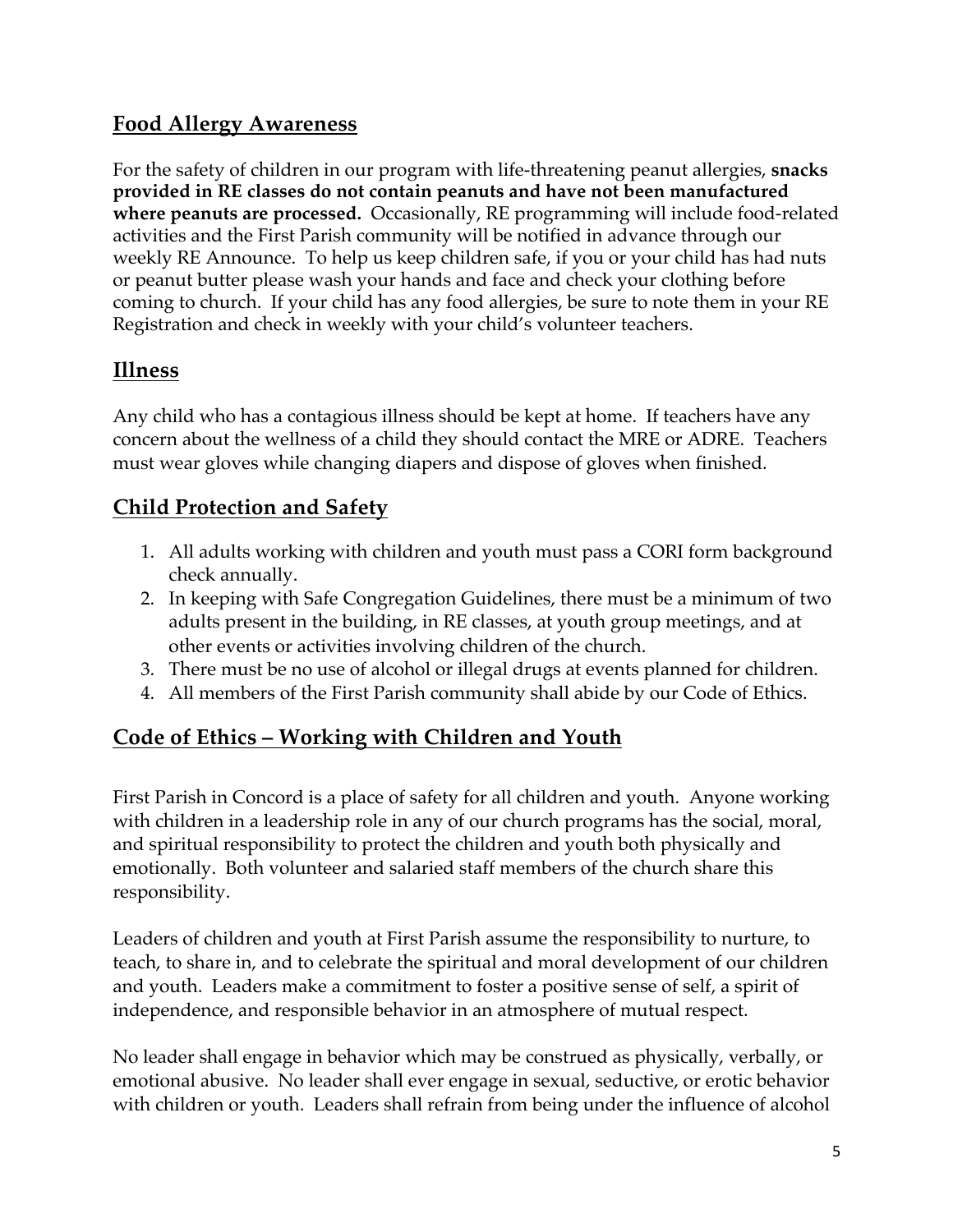#### **Food Allergy Awareness**

For the safety of children in our program with life-threatening peanut allergies, **snacks provided in RE classes do not contain peanuts and have not been manufactured where peanuts are processed.** Occasionally, RE programming will include food-related activities and the First Parish community will be notified in advance through our weekly RE Announce. To help us keep children safe, if you or your child has had nuts or peanut butter please wash your hands and face and check your clothing before coming to church. If your child has any food allergies, be sure to note them in your RE Registration and check in weekly with your child's volunteer teachers.

## **Illness**

Any child who has a contagious illness should be kept at home. If teachers have any concern about the wellness of a child they should contact the MRE or ADRE. Teachers must wear gloves while changing diapers and dispose of gloves when finished.

## **Child Protection and Safety**

- 1. All adults working with children and youth must pass a CORI form background check annually.
- 2. In keeping with Safe Congregation Guidelines, there must be a minimum of two adults present in the building, in RE classes, at youth group meetings, and at other events or activities involving children of the church.
- 3. There must be no use of alcohol or illegal drugs at events planned for children.
- 4. All members of the First Parish community shall abide by our Code of Ethics.

#### **Code of Ethics – Working with Children and Youth**

First Parish in Concord is a place of safety for all children and youth. Anyone working with children in a leadership role in any of our church programs has the social, moral, and spiritual responsibility to protect the children and youth both physically and emotionally. Both volunteer and salaried staff members of the church share this responsibility.

Leaders of children and youth at First Parish assume the responsibility to nurture, to teach, to share in, and to celebrate the spiritual and moral development of our children and youth. Leaders make a commitment to foster a positive sense of self, a spirit of independence, and responsible behavior in an atmosphere of mutual respect.

No leader shall engage in behavior which may be construed as physically, verbally, or emotional abusive. No leader shall ever engage in sexual, seductive, or erotic behavior with children or youth. Leaders shall refrain from being under the influence of alcohol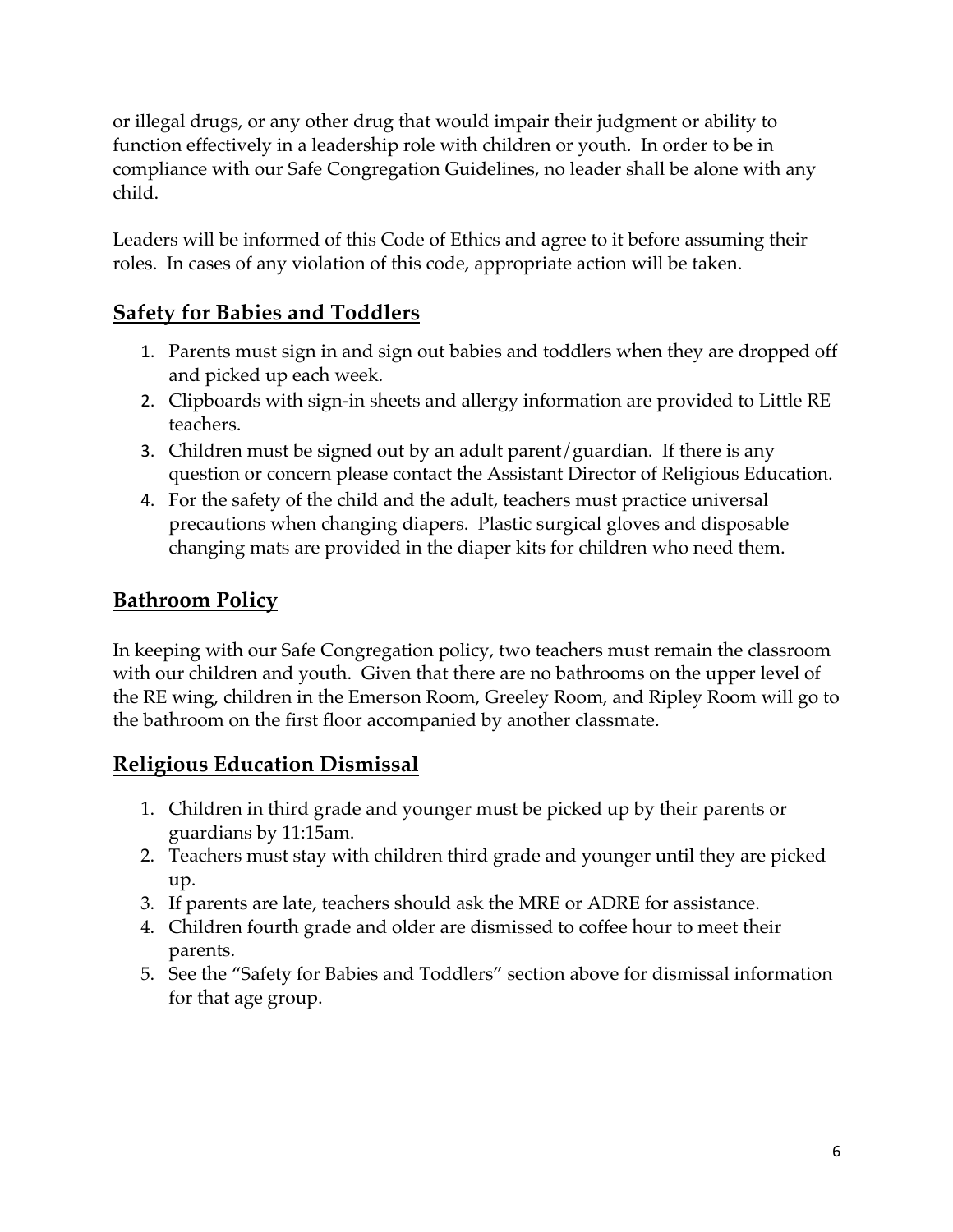or illegal drugs, or any other drug that would impair their judgment or ability to function effectively in a leadership role with children or youth. In order to be in compliance with our Safe Congregation Guidelines, no leader shall be alone with any child.

Leaders will be informed of this Code of Ethics and agree to it before assuming their roles. In cases of any violation of this code, appropriate action will be taken.

#### **Safety for Babies and Toddlers**

- 1. Parents must sign in and sign out babies and toddlers when they are dropped off and picked up each week.
- 2. Clipboards with sign-in sheets and allergy information are provided to Little RE teachers.
- 3. Children must be signed out by an adult parent/guardian. If there is any question or concern please contact the Assistant Director of Religious Education.
- 4. For the safety of the child and the adult, teachers must practice universal precautions when changing diapers. Plastic surgical gloves and disposable changing mats are provided in the diaper kits for children who need them.

#### **Bathroom Policy**

In keeping with our Safe Congregation policy, two teachers must remain the classroom with our children and youth. Given that there are no bathrooms on the upper level of the RE wing, children in the Emerson Room, Greeley Room, and Ripley Room will go to the bathroom on the first floor accompanied by another classmate.

#### **Religious Education Dismissal**

- 1. Children in third grade and younger must be picked up by their parents or guardians by 11:15am.
- 2. Teachers must stay with children third grade and younger until they are picked up.
- 3. If parents are late, teachers should ask the MRE or ADRE for assistance.
- 4. Children fourth grade and older are dismissed to coffee hour to meet their parents.
- 5. See the "Safety for Babies and Toddlers" section above for dismissal information for that age group.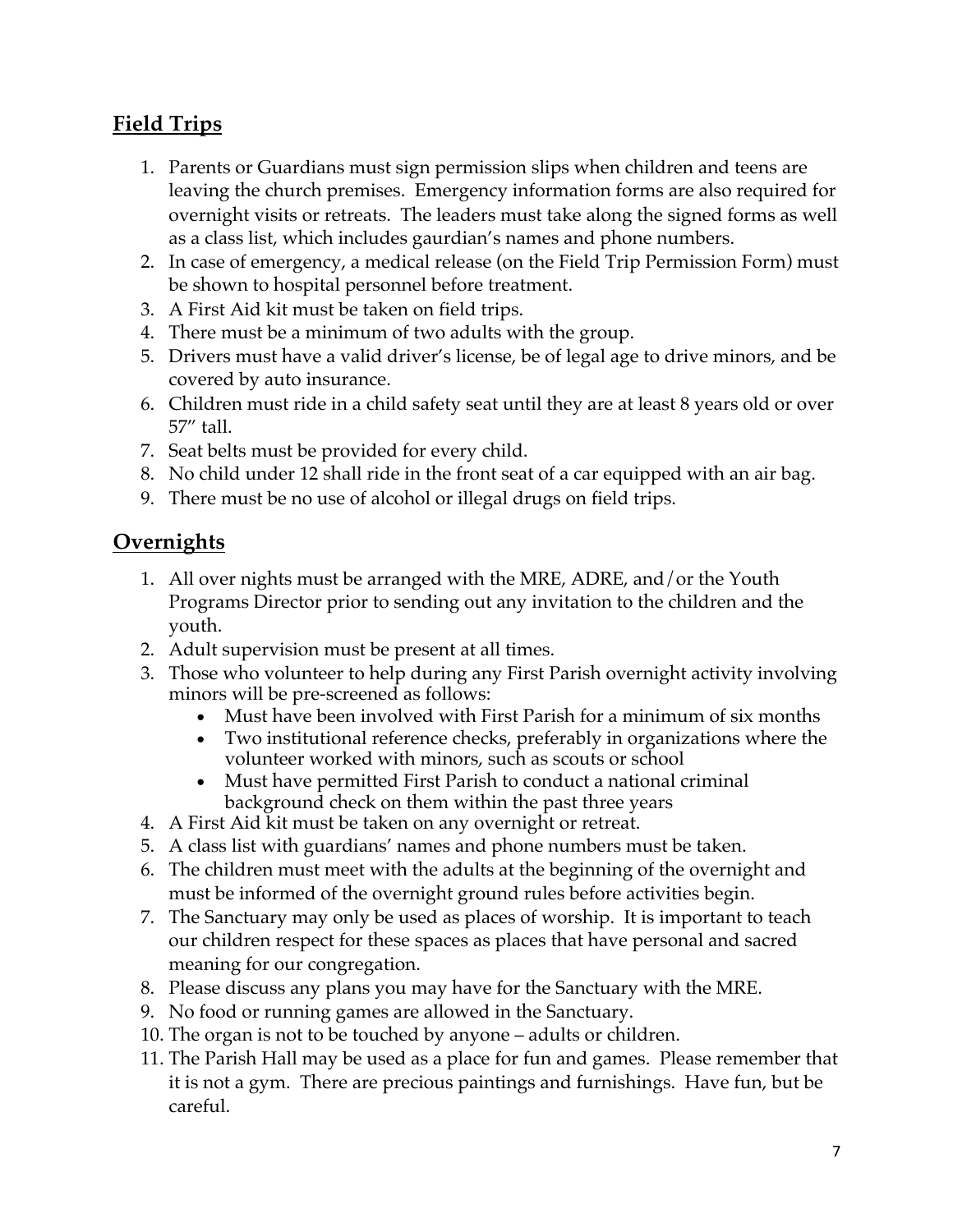### **Field Trips**

- 1. Parents or Guardians must sign permission slips when children and teens are leaving the church premises. Emergency information forms are also required for overnight visits or retreats. The leaders must take along the signed forms as well as a class list, which includes gaurdian's names and phone numbers.
- 2. In case of emergency, a medical release (on the Field Trip Permission Form) must be shown to hospital personnel before treatment.
- 3. A First Aid kit must be taken on field trips.
- 4. There must be a minimum of two adults with the group.
- 5. Drivers must have a valid driver's license, be of legal age to drive minors, and be covered by auto insurance.
- 6. Children must ride in a child safety seat until they are at least 8 years old or over 57" tall.
- 7. Seat belts must be provided for every child.
- 8. No child under 12 shall ride in the front seat of a car equipped with an air bag.
- 9. There must be no use of alcohol or illegal drugs on field trips.

### **Overnights**

- 1. All over nights must be arranged with the MRE, ADRE, and/or the Youth Programs Director prior to sending out any invitation to the children and the youth.
- 2. Adult supervision must be present at all times.
- 3. Those who volunteer to help during any First Parish overnight activity involving minors will be pre-screened as follows:
	- Must have been involved with First Parish for a minimum of six months
	- Two institutional reference checks, preferably in organizations where the volunteer worked with minors, such as scouts or school
	- Must have permitted First Parish to conduct a national criminal background check on them within the past three years
- 4. A First Aid kit must be taken on any overnight or retreat.
- 5. A class list with guardians' names and phone numbers must be taken.
- 6. The children must meet with the adults at the beginning of the overnight and must be informed of the overnight ground rules before activities begin.
- 7. The Sanctuary may only be used as places of worship. It is important to teach our children respect for these spaces as places that have personal and sacred meaning for our congregation.
- 8. Please discuss any plans you may have for the Sanctuary with the MRE.
- 9. No food or running games are allowed in the Sanctuary.
- 10. The organ is not to be touched by anyone adults or children.
- 11. The Parish Hall may be used as a place for fun and games. Please remember that it is not a gym. There are precious paintings and furnishings. Have fun, but be careful.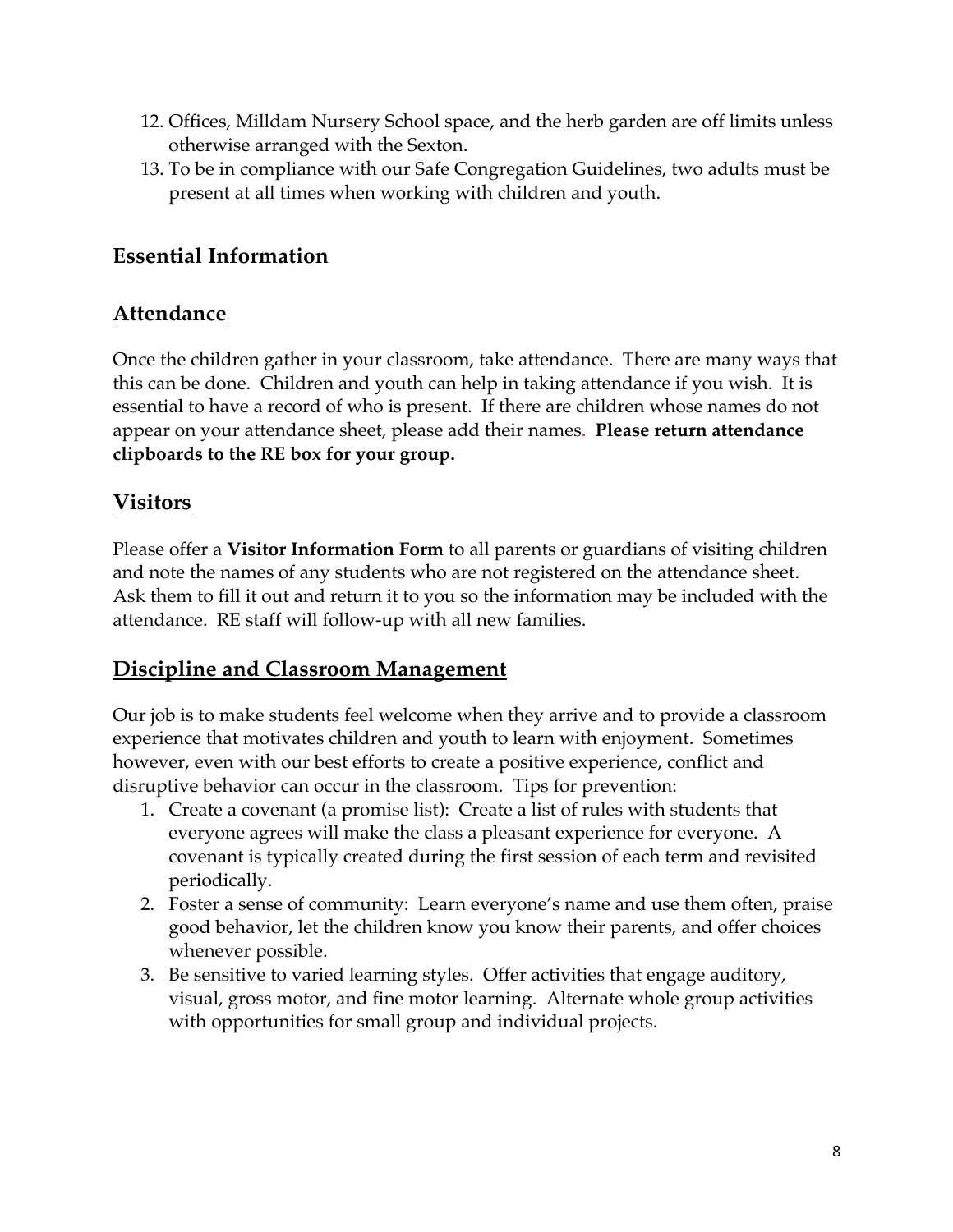- 12. Offices, Milldam Nursery School space, and the herb garden are off limits unless otherwise arranged with the Sexton.
- 13. To be in compliance with our Safe Congregation Guidelines, two adults must be present at all times when working with children and youth.

#### **Essential Information**

#### **Attendance**

Once the children gather in your classroom, take attendance. There are many ways that this can be done. Children and youth can help in taking attendance if you wish. It is essential to have a record of who is present. If there are children whose names do not appear on your attendance sheet, please add their names. **Please return attendance clipboards to the RE box for your group.**

## **Visitors**

Please offer a **Visitor Information Form** to all parents or guardians of visiting children and note the names of any students who are not registered on the attendance sheet. Ask them to fill it out and return it to you so the information may be included with the attendance. RE staff will follow-up with all new families.

#### **Discipline and Classroom Management**

Our job is to make students feel welcome when they arrive and to provide a classroom experience that motivates children and youth to learn with enjoyment. Sometimes however, even with our best efforts to create a positive experience, conflict and disruptive behavior can occur in the classroom. Tips for prevention:

- 1. Create a covenant (a promise list): Create a list of rules with students that everyone agrees will make the class a pleasant experience for everyone. A covenant is typically created during the first session of each term and revisited periodically.
- 2. Foster a sense of community: Learn everyone's name and use them often, praise good behavior, let the children know you know their parents, and offer choices whenever possible.
- 3. Be sensitive to varied learning styles. Offer activities that engage auditory, visual, gross motor, and fine motor learning. Alternate whole group activities with opportunities for small group and individual projects.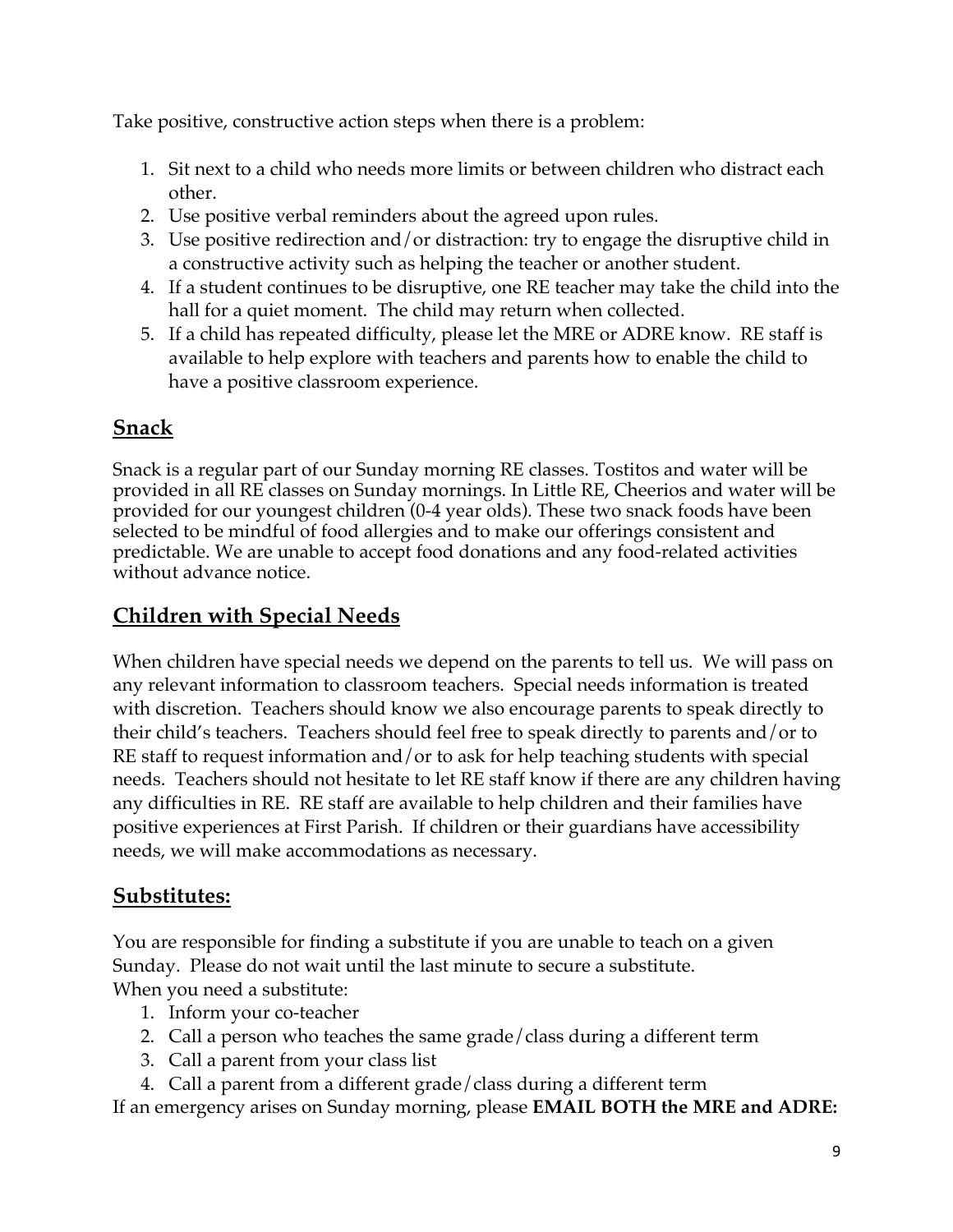Take positive, constructive action steps when there is a problem:

- 1. Sit next to a child who needs more limits or between children who distract each other.
- 2. Use positive verbal reminders about the agreed upon rules.
- 3. Use positive redirection and/or distraction: try to engage the disruptive child in a constructive activity such as helping the teacher or another student.
- 4. If a student continues to be disruptive, one RE teacher may take the child into the hall for a quiet moment. The child may return when collected.
- 5. If a child has repeated difficulty, please let the MRE or ADRE know. RE staff is available to help explore with teachers and parents how to enable the child to have a positive classroom experience.

### **Snack**

Snack is a regular part of our Sunday morning RE classes. Tostitos and water will be provided in all RE classes on Sunday mornings. In Little RE, Cheerios and water will be provided for our youngest children (0-4 year olds). These two snack foods have been selected to be mindful of food allergies and to make our offerings consistent and predictable. We are unable to accept food donations and any food-related activities without advance notice.

#### **Children with Special Needs**

When children have special needs we depend on the parents to tell us. We will pass on any relevant information to classroom teachers. Special needs information is treated with discretion. Teachers should know we also encourage parents to speak directly to their child's teachers. Teachers should feel free to speak directly to parents and/or to RE staff to request information and/or to ask for help teaching students with special needs. Teachers should not hesitate to let RE staff know if there are any children having any difficulties in RE. RE staff are available to help children and their families have positive experiences at First Parish. If children or their guardians have accessibility needs, we will make accommodations as necessary.

#### **Substitutes:**

You are responsible for finding a substitute if you are unable to teach on a given Sunday. Please do not wait until the last minute to secure a substitute. When you need a substitute:

- 1. Inform your co-teacher
- 2. Call a person who teaches the same grade/class during a different term
- 3. Call a parent from your class list
- 4. Call a parent from a different grade/class during a different term

If an emergency arises on Sunday morning, please **EMAIL BOTH the MRE and ADRE:**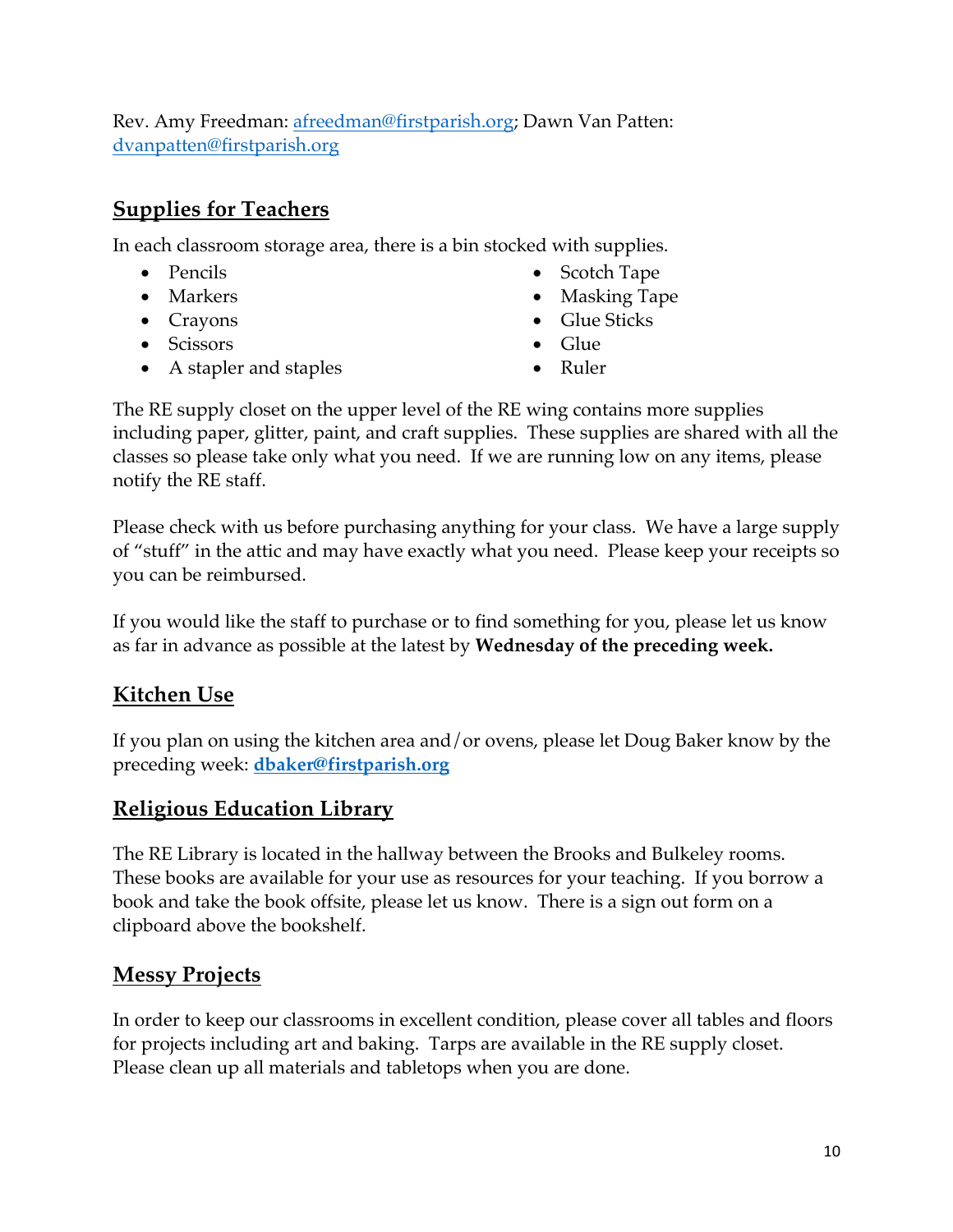Rev. Amy Freedman: afreedman@firstparish.org; Dawn Van Patten: dvanpatten@firstparish.org

#### **Supplies for Teachers**

In each classroom storage area, there is a bin stocked with supplies.

- Pencils
- Markers
- Crayons
- Scissors
- A stapler and staples
- Scotch Tape
- Masking Tape
- Glue Sticks
- Glue
- Ruler

The RE supply closet on the upper level of the RE wing contains more supplies including paper, glitter, paint, and craft supplies. These supplies are shared with all the classes so please take only what you need. If we are running low on any items, please notify the RE staff.

Please check with us before purchasing anything for your class. We have a large supply of "stuff" in the attic and may have exactly what you need. Please keep your receipts so you can be reimbursed.

If you would like the staff to purchase or to find something for you, please let us know as far in advance as possible at the latest by **Wednesday of the preceding week.**

#### **Kitchen Use**

If you plan on using the kitchen area and/or ovens, please let Doug Baker know by the preceding week: **dbaker@firstparish.org**

#### **Religious Education Library**

The RE Library is located in the hallway between the Brooks and Bulkeley rooms. These books are available for your use as resources for your teaching. If you borrow a book and take the book offsite, please let us know. There is a sign out form on a clipboard above the bookshelf.

#### **Messy Projects**

In order to keep our classrooms in excellent condition, please cover all tables and floors for projects including art and baking. Tarps are available in the RE supply closet. Please clean up all materials and tabletops when you are done.